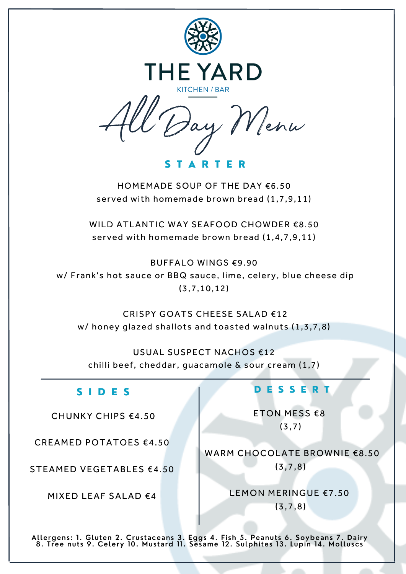

S T A R T E R

HOMEMADE SOUP OF THE DAY €6.50 served with homemade brown bread (1,7,9,11)

WILD ATLANTIC WAY SEAFOOD CHOWDER €8.50 served with homemade brown bread (1,4,7,9,11)

BUFFALO WINGS €9.90

w/ Frank's hot sauce or BBQ sauce, lime, celery, blue cheese dip (3,7,10,12)

CRISPY GOATS CHEESE SALAD €12 w/ honey glazed shallots and toasted walnuts (1,3,7,8)

USUAL SUSPECT NACHOS €12 chilli beef, cheddar, guacamole & sour cream (1,7)

#### S I D E S

CHUNKY CHIPS €4.50

CREAMED POTATOES €4.50

STEAMED VEGETABLES €4.50

MIXED LEAF SALAD €4

#### D E S S E R T

ETON MESS €8 (3,7)

WARM CHOCOLATE BROWNIE €8.50 (3,7,8)

> LEMON MERINGUE €7.50 (3,7,8)

**Allergens: 1. Gluten 2. Crustaceans 3. Eggs 4. Fish 5. Peanuts 6. Soybeans 7. Dairy 8. Tree nuts 9. Celery 10. Mustard 11. Sesame 12. Sulphites 13. Lupin 14. Molluscs**